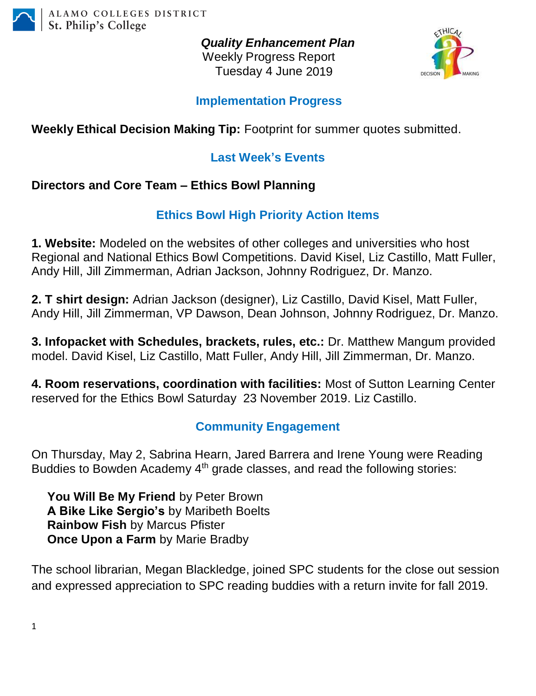

*Quality Enhancement Plan* Weekly Progress Report Tuesday 4 June 2019



#### **Implementation Progress**

# **Weekly Ethical Decision Making Tip:** Footprint for summer quotes submitted.

## **Last Week's Events**

### **Directors and Core Team – Ethics Bowl Planning**

# **Ethics Bowl High Priority Action Items**

**1. Website:** Modeled on the websites of other colleges and universities who host Regional and National Ethics Bowl Competitions. David Kisel, Liz Castillo, Matt Fuller, Andy Hill, Jill Zimmerman, Adrian Jackson, Johnny Rodriguez, Dr. Manzo.

**2. T shirt design:** Adrian Jackson (designer), Liz Castillo, David Kisel, Matt Fuller, Andy Hill, Jill Zimmerman, VP Dawson, Dean Johnson, Johnny Rodriguez, Dr. Manzo.

**3. Infopacket with Schedules, brackets, rules, etc.:** Dr. Matthew Mangum provided model. David Kisel, Liz Castillo, Matt Fuller, Andy Hill, Jill Zimmerman, Dr. Manzo.

**4. Room reservations, coordination with facilities:** Most of Sutton Learning Center reserved for the Ethics Bowl Saturday 23 November 2019. Liz Castillo.

### **Community Engagement**

On Thursday, May 2, Sabrina Hearn, Jared Barrera and Irene Young were Reading Buddies to Bowden Academy 4<sup>th</sup> grade classes, and read the following stories:

**You Will Be My Friend** by Peter Brown **A Bike Like Sergio's** by Maribeth Boelts **Rainbow Fish** by Marcus Pfister **Once Upon a Farm** by Marie Bradby

The school librarian, Megan Blackledge, joined SPC students for the close out session and expressed appreciation to SPC reading buddies with a return invite for fall 2019.